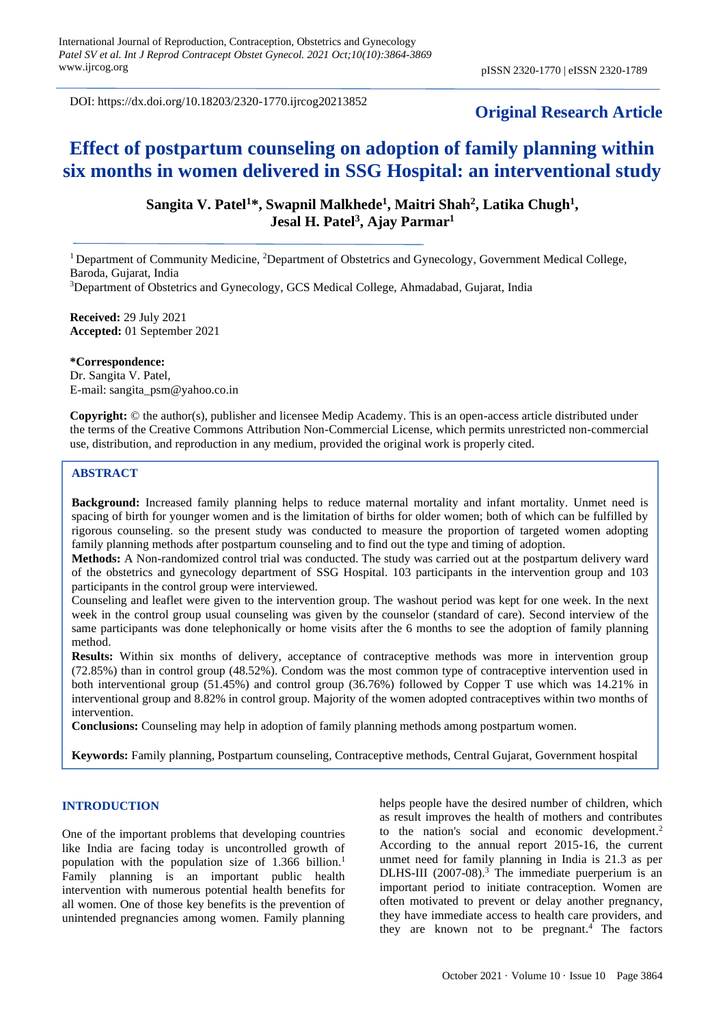DOI: https://dx.doi.org/10.18203/2320-1770.ijrcog20213852

# **Original Research Article**

# **Effect of postpartum counseling on adoption of family planning within six months in women delivered in SSG Hospital: an interventional study**

**Sangita V. Patel<sup>1</sup>\*, Swapnil Malkhede<sup>1</sup> , Maitri Shah<sup>2</sup> , Latika Chugh<sup>1</sup> , Jesal H. Patel<sup>3</sup> , Ajay Parmar<sup>1</sup>**

<sup>1</sup> Department of Community Medicine, <sup>2</sup>Department of Obstetrics and Gynecology, Government Medical College, Baroda, Gujarat, India

<sup>3</sup>Department of Obstetrics and Gynecology, GCS Medical College, Ahmadabad, Gujarat, India

**Received:** 29 July 2021 **Accepted:** 01 September 2021

**\*Correspondence:** Dr. Sangita V. Patel, E-mail: [sangita\\_psm@yahoo.co.in](mailto:sangita_psm@yahoo.co.in)

**Copyright:** © the author(s), publisher and licensee Medip Academy. This is an open-access article distributed under the terms of the Creative Commons Attribution Non-Commercial License, which permits unrestricted non-commercial use, distribution, and reproduction in any medium, provided the original work is properly cited.

# **ABSTRACT**

**Background:** Increased family planning helps to reduce maternal mortality and infant mortality. Unmet need is spacing of birth for younger women and is the limitation of births for older women; both of which can be fulfilled by rigorous counseling. so the present study was conducted to measure the proportion of targeted women adopting family planning methods after postpartum counseling and to find out the type and timing of adoption.

**Methods:** A Non-randomized control trial was conducted. The study was carried out at the postpartum delivery ward of the obstetrics and gynecology department of SSG Hospital. 103 participants in the intervention group and 103 participants in the control group were interviewed.

Counseling and leaflet were given to the intervention group. The washout period was kept for one week. In the next week in the control group usual counseling was given by the counselor (standard of care). Second interview of the same participants was done telephonically or home visits after the 6 months to see the adoption of family planning method.

**Results:** Within six months of delivery, acceptance of contraceptive methods was more in intervention group (72.85%) than in control group (48.52%). Condom was the most common type of contraceptive intervention used in both interventional group (51.45%) and control group (36.76%) followed by Copper T use which was 14.21% in interventional group and 8.82% in control group. Majority of the women adopted contraceptives within two months of intervention.

**Conclusions:** Counseling may help in adoption of family planning methods among postpartum women.

**Keywords:** Family planning, Postpartum counseling, Contraceptive methods, Central Gujarat, Government hospital

# **INTRODUCTION**

One of the important problems that developing countries like India are facing today is uncontrolled growth of population with the population size of 1.366 billion. 1 Family planning is an important public health intervention with numerous potential health benefits for all women. One of those key benefits is the prevention of unintended pregnancies among women. Family planning helps people have the desired number of children, which as result improves the health of mothers and contributes to the nation's social and economic development. 2 According to the annual report 2015-16, the current unmet need for family planning in India is 21.3 as per DLHS-III (2007-08). <sup>3</sup> The immediate puerperium is an important period to initiate contraception. Women are often motivated to prevent or delay another pregnancy, they have immediate access to health care providers, and they are known not to be pregnant.<sup>4</sup> The factors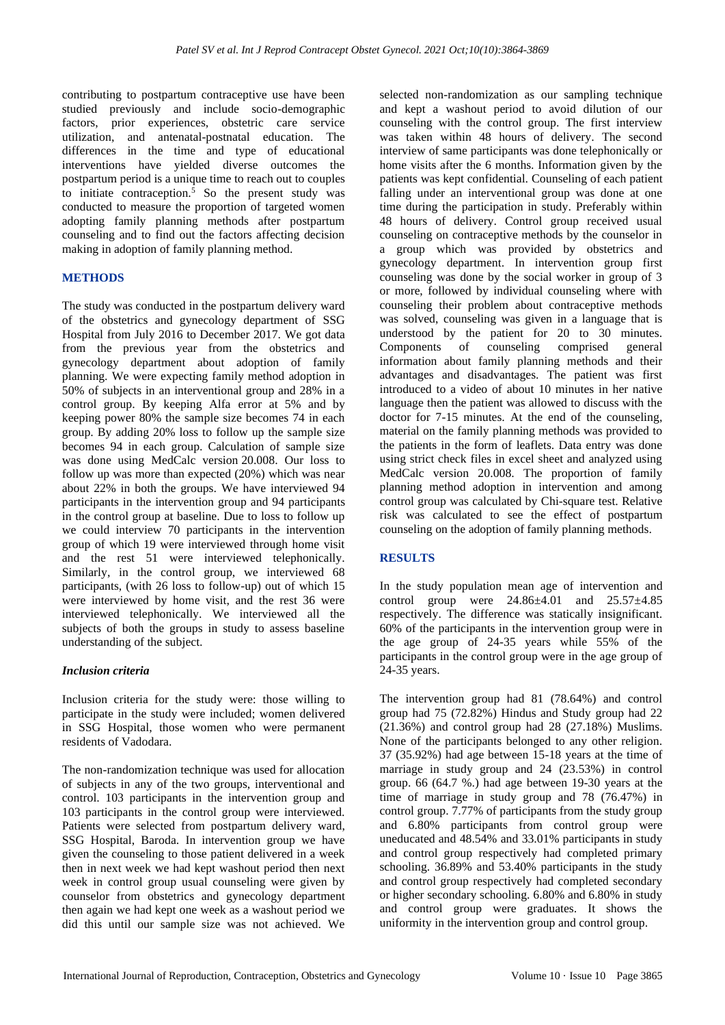contributing to postpartum contraceptive use have been studied previously and include socio-demographic factors, prior experiences, obstetric care service utilization, and antenatal-postnatal education. The differences in the time and type of educational interventions have yielded diverse outcomes the postpartum period is a unique time to reach out to couples to initiate contraception.<sup>5</sup> So the present study was conducted to measure the proportion of targeted women adopting family planning methods after postpartum counseling and to find out the factors affecting decision making in adoption of family planning method.

# **METHODS**

The study was conducted in the postpartum delivery ward of the obstetrics and gynecology department of SSG Hospital from July 2016 to December 2017. We got data from the previous year from the obstetrics and gynecology department about adoption of family planning. We were expecting family method adoption in 50% of subjects in an interventional group and 28% in a control group. By keeping Alfa error at 5% and by keeping power 80% the sample size becomes 74 in each group. By adding 20% loss to follow up the sample size becomes 94 in each group. Calculation of sample size was done using MedCalc version 20.008. Our loss to follow up was more than expected (20%) which was near about 22% in both the groups. We have interviewed 94 participants in the intervention group and 94 participants in the control group at baseline. Due to loss to follow up we could interview 70 participants in the intervention group of which 19 were interviewed through home visit and the rest 51 were interviewed telephonically. Similarly, in the control group, we interviewed 68 participants, (with 26 loss to follow-up) out of which 15 were interviewed by home visit, and the rest 36 were interviewed telephonically. We interviewed all the subjects of both the groups in study to assess baseline understanding of the subject.

# *Inclusion criteria*

Inclusion criteria for the study were: those willing to participate in the study were included; women delivered in SSG Hospital, those women who were permanent residents of Vadodara.

The non-randomization technique was used for allocation of subjects in any of the two groups, interventional and control. 103 participants in the intervention group and 103 participants in the control group were interviewed. Patients were selected from postpartum delivery ward, SSG Hospital, Baroda. In intervention group we have given the counseling to those patient delivered in a week then in next week we had kept washout period then next week in control group usual counseling were given by counselor from obstetrics and gynecology department then again we had kept one week as a washout period we did this until our sample size was not achieved. We selected non-randomization as our sampling technique and kept a washout period to avoid dilution of our counseling with the control group. The first interview was taken within 48 hours of delivery. The second interview of same participants was done telephonically or home visits after the 6 months. Information given by the patients was kept confidential. Counseling of each patient falling under an interventional group was done at one time during the participation in study. Preferably within 48 hours of delivery. Control group received usual counseling on contraceptive methods by the counselor in a group which was provided by obstetrics and gynecology department. In intervention group first counseling was done by the social worker in group of 3 or more, followed by individual counseling where with counseling their problem about contraceptive methods was solved, counseling was given in a language that is understood by the patient for 20 to 30 minutes. Components of counseling comprised general information about family planning methods and their advantages and disadvantages. The patient was first introduced to a video of about 10 minutes in her native language then the patient was allowed to discuss with the doctor for 7-15 minutes. At the end of the counseling, material on the family planning methods was provided to the patients in the form of leaflets. Data entry was done using strict check files in excel sheet and analyzed using MedCalc version 20.008. The proportion of family planning method adoption in intervention and among control group was calculated by Chi-square test. Relative risk was calculated to see the effect of postpartum counseling on the adoption of family planning methods.

# **RESULTS**

In the study population mean age of intervention and control group were 24.86±4.01 and 25.57±4.85 respectively. The difference was statically insignificant. 60% of the participants in the intervention group were in the age group of 24-35 years while 55% of the participants in the control group were in the age group of 24-35 years.

The intervention group had 81 (78.64%) and control group had 75 (72.82%) Hindus and Study group had 22 (21.36%) and control group had 28 (27.18%) Muslims. None of the participants belonged to any other religion. 37 (35.92%) had age between 15-18 years at the time of marriage in study group and 24 (23.53%) in control group. 66 (64.7 %.) had age between 19-30 years at the time of marriage in study group and 78 (76.47%) in control group. 7.77% of participants from the study group and 6.80% participants from control group were uneducated and 48.54% and 33.01% participants in study and control group respectively had completed primary schooling. 36.89% and 53.40% participants in the study and control group respectively had completed secondary or higher secondary schooling. 6.80% and 6.80% in study and control group were graduates. It shows the uniformity in the intervention group and control group.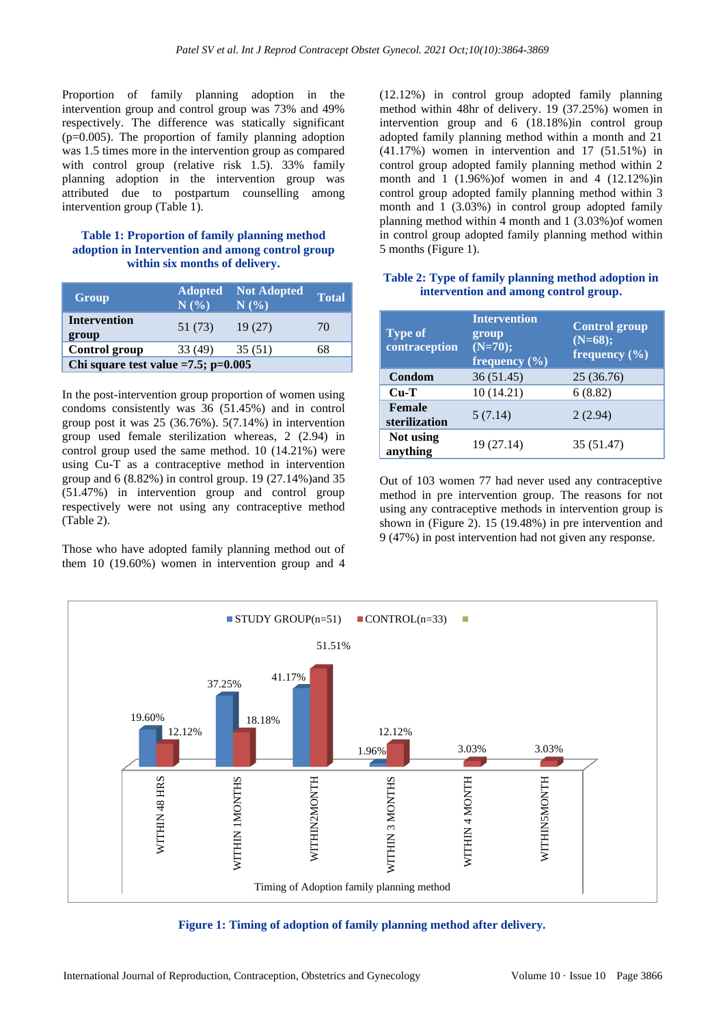Proportion of family planning adoption in the intervention group and control group was 73% and 49% respectively. The difference was statically significant (p=0.005). The proportion of family planning adoption was 1.5 times more in the intervention group as compared with control group (relative risk 1.5). 33% family planning adoption in the intervention group was attributed due to postpartum counselling among intervention group (Table 1).

#### **Table 1: Proportion of family planning method adoption in Intervention and among control group within six months of delivery.**

| Group                                      | <b>Adopted</b><br>N(%) | <b>Not Adopted</b><br>N(%) | <b>Total</b> |
|--------------------------------------------|------------------------|----------------------------|--------------|
| <b>Intervention</b><br>group               | 51 (73)                | 19(27)                     | 70           |
| Control group                              | 33(49)                 | 35(51)                     | 68           |
| Chi square test value = $7.5$ ; p= $0.005$ |                        |                            |              |

In the post-intervention group proportion of women using condoms consistently was 36 (51.45%) and in control group post it was  $25$  (36.76%).  $5(7.14\%)$  in intervention group used female sterilization whereas, 2 (2.94) in control group used the same method. 10 (14.21%) were using Cu-T as a contraceptive method in intervention group and 6 (8.82%) in control group. 19 (27.14%)and 35 (51.47%) in intervention group and control group respectively were not using any contraceptive method (Table 2).

Those who have adopted family planning method out of them 10 (19.60%) women in intervention group and 4 (12.12%) in control group adopted family planning method within 48hr of delivery. 19 (37.25%) women in intervention group and 6 (18.18%)in control group adopted family planning method within a month and 21 (41.17%) women in intervention and 17 (51.51%) in control group adopted family planning method within 2 month and 1 (1.96%)of women in and 4 (12.12%)in control group adopted family planning method within 3 month and 1 (3.03%) in control group adopted family planning method within 4 month and 1 (3.03%)of women in control group adopted family planning method within 5 months (Figure 1).

| <b>Type of</b><br>contraception | <b>Intervention</b><br>group<br>$(N=70);$<br>frequency $(\% )$ | <b>Control group</b><br>$(N=68);$<br>frequency $(\sqrt[6]{6})$ |
|---------------------------------|----------------------------------------------------------------|----------------------------------------------------------------|
| Condom                          | 36 (51.45)                                                     | 25(36.76)                                                      |
| $Cu-T$                          | 10(14.21)                                                      | 6(8.82)                                                        |
| Female<br>sterilization         | 5(7.14)                                                        | 2(2.94)                                                        |
| Not using<br>anything           | 19 (27.14)                                                     | 35 (51.47)                                                     |

# **Table 2: Type of family planning method adoption in intervention and among control group.**

Out of 103 women 77 had never used any contraceptive method in pre intervention group. The reasons for not using any contraceptive methods in intervention group is shown in (Figure 2). 15 (19.48%) in pre intervention and 9 (47%) in post intervention had not given any response.



**Figure 1: Timing of adoption of family planning method after delivery.**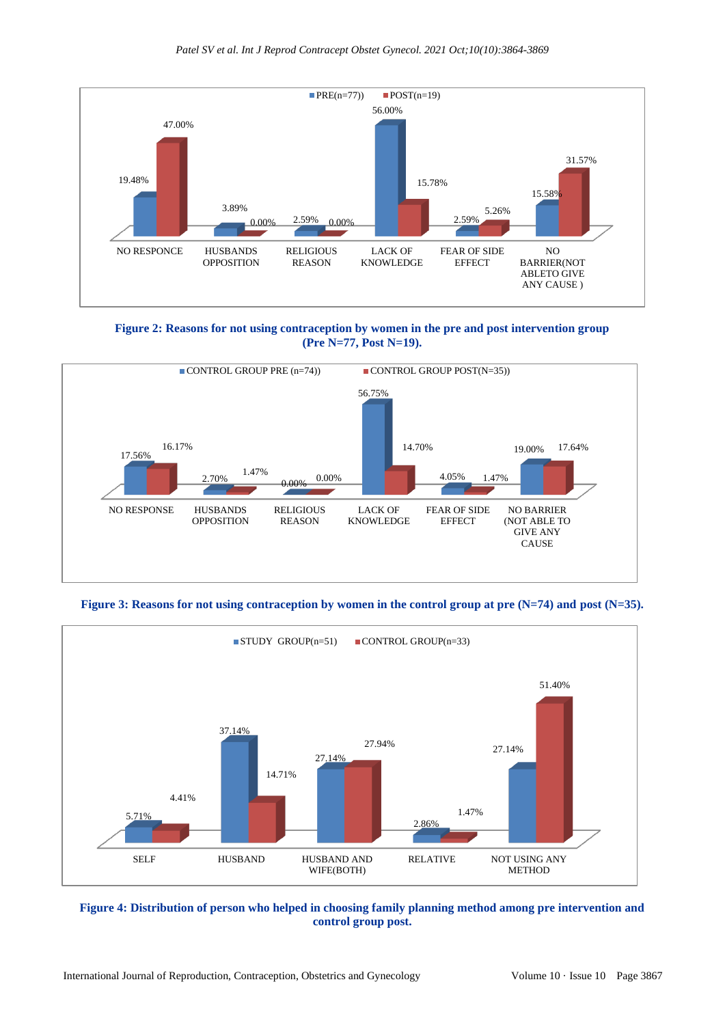

**Figure 2: Reasons for not using contraception by women in the pre and post intervention group (Pre N=77, Post N=19).**



**Figure 3: Reasons for not using contraception by women in the control group at pre (N=74) and post (N=35).**



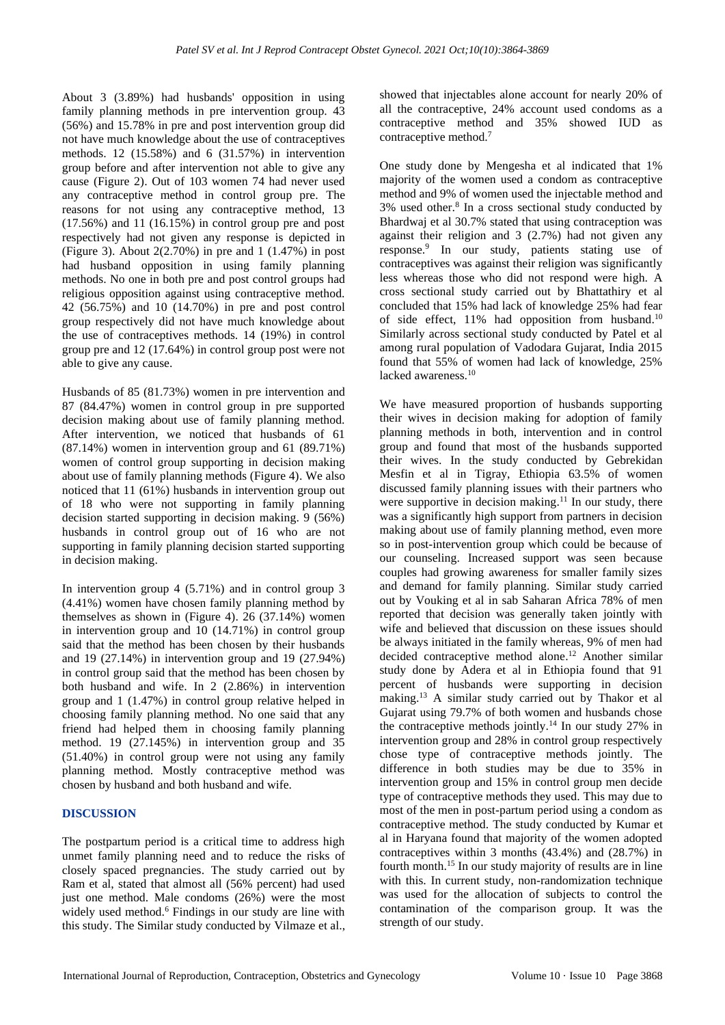About 3 (3.89%) had husbands' opposition in using family planning methods in pre intervention group. 43 (56%) and 15.78% in pre and post intervention group did not have much knowledge about the use of contraceptives methods. 12 (15.58%) and 6 (31.57%) in intervention group before and after intervention not able to give any cause (Figure 2). Out of 103 women 74 had never used any contraceptive method in control group pre. The reasons for not using any contraceptive method, 13  $(17.56\%)$  and 11  $(16.15\%)$  in control group pre and post respectively had not given any response is depicted in (Figure 3). About 2(2.70%) in pre and 1 (1.47%) in post had husband opposition in using family planning methods. No one in both pre and post control groups had religious opposition against using contraceptive method. 42 (56.75%) and 10 (14.70%) in pre and post control group respectively did not have much knowledge about the use of contraceptives methods. 14 (19%) in control group pre and 12 (17.64%) in control group post were not able to give any cause.

Husbands of 85 (81.73%) women in pre intervention and 87 (84.47%) women in control group in pre supported decision making about use of family planning method. After intervention, we noticed that husbands of 61 (87.14%) women in intervention group and 61 (89.71%) women of control group supporting in decision making about use of family planning methods (Figure 4). We also noticed that 11 (61%) husbands in intervention group out of 18 who were not supporting in family planning decision started supporting in decision making. 9 (56%) husbands in control group out of 16 who are not supporting in family planning decision started supporting in decision making.

In intervention group 4 (5.71%) and in control group 3 (4.41%) women have chosen family planning method by themselves as shown in (Figure 4). 26 (37.14%) women in intervention group and 10 (14.71%) in control group said that the method has been chosen by their husbands and 19 (27.14%) in intervention group and 19 (27.94%) in control group said that the method has been chosen by both husband and wife. In 2 (2.86%) in intervention group and 1 (1.47%) in control group relative helped in choosing family planning method. No one said that any friend had helped them in choosing family planning method. 19 (27.145%) in intervention group and 35 (51.40%) in control group were not using any family planning method. Mostly contraceptive method was chosen by husband and both husband and wife.

# **DISCUSSION**

The postpartum period is a critical time to address high unmet family planning need and to reduce the risks of closely spaced pregnancies. The study carried out by Ram et al, stated that almost all (56% percent) had used just one method. Male condoms (26%) were the most widely used method.<sup>6</sup> Findings in our study are line with this study. The Similar study conducted by Vilmaze et al., showed that injectables alone account for nearly 20% of all the contraceptive, 24% account used condoms as a contraceptive method and 35% showed IUD as contraceptive method.<sup>7</sup>

One study done by Mengesha et al indicated that 1% majority of the women used a condom as contraceptive method and 9% of women used the injectable method and 3% used other.<sup>8</sup> In a cross sectional study conducted by Bhardwaj et al 30.7% stated that using contraception was against their religion and 3 (2.7%) had not given any response.<sup>9</sup> In our study, patients stating use of contraceptives was against their religion was significantly less whereas those who did not respond were high. A cross sectional study carried out by Bhattathiry et al concluded that 15% had lack of knowledge 25% had fear of side effect, 11% had opposition from husband.<sup>10</sup> Similarly across sectional study conducted by Patel et al among rural population of Vadodara Gujarat, India 2015 found that 55% of women had lack of knowledge, 25% lacked awareness.<sup>10</sup>

We have measured proportion of husbands supporting their wives in decision making for adoption of family planning methods in both, intervention and in control group and found that most of the husbands supported their wives. In the study conducted by Gebrekidan Mesfin et al in Tigray, Ethiopia 63.5% of women discussed family planning issues with their partners who were supportive in decision making.<sup>11</sup> In our study, there was a significantly high support from partners in decision making about use of family planning method, even more so in post-intervention group which could be because of our counseling. Increased support was seen because couples had growing awareness for smaller family sizes and demand for family planning. Similar study carried out by Vouking et al in sab Saharan Africa 78% of men reported that decision was generally taken jointly with wife and believed that discussion on these issues should be always initiated in the family whereas, 9% of men had decided contraceptive method alone. <sup>12</sup> Another similar study done by Adera et al in Ethiopia found that 91 percent of husbands were supporting in decision making. <sup>13</sup> A similar study carried out by Thakor et al Gujarat using 79.7% of both women and husbands chose the contraceptive methods jointly.<sup>14</sup> In our study 27% in intervention group and 28% in control group respectively chose type of contraceptive methods jointly. The difference in both studies may be due to 35% in intervention group and 15% in control group men decide type of contraceptive methods they used. This may due to most of the men in post-partum period using a condom as contraceptive method. The study conducted by Kumar et al in Haryana found that majority of the women adopted contraceptives within 3 months (43.4%) and (28.7%) in fourth month.<sup>15</sup> In our study majority of results are in line with this. In current study, non-randomization technique was used for the allocation of subjects to control the contamination of the comparison group. It was the strength of our study.